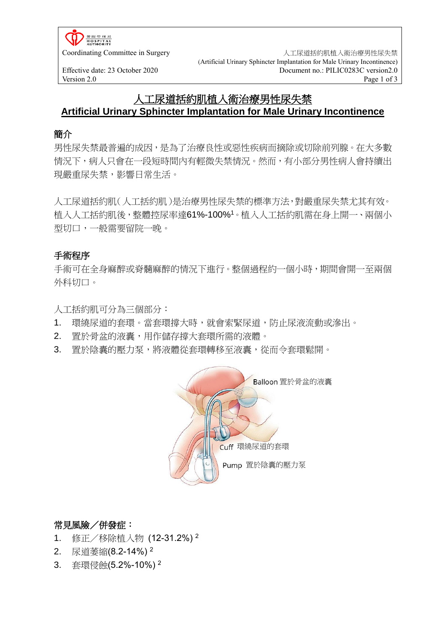**HOSPITAL**<br>AUTHORITY

Coordinating Committee in Surgery <br>
<br />
<br />
<br />
<br />
<br />
<br />
<br />
<br />
<br />
<br />
<br />
<br />
<br />
<br />
<br />
<br />
<br />
<br />
<br />
<br />
<br />
<br />
<br />
<br />
<br />
<br />
<br (Artificial Urinary Sphincter Implantation for Male Urinary Incontinence) Effective date: 23 October 2020<br>
Version 2.0<br>
Page 1 of 3<br>
Page 1 of 3 Version 2.0 Page 1 of 3

# 人工尿道括約肌植入術治療男性尿失禁 **Artificial Urinary Sphincter Implantation for Male Urinary Incontinence**

### 簡介

男性尿失禁最普遍的成因,是為了治療良性或惡性疾病而摘除或切除前列腺。在大多數 情況下,病人只會在一段短時間內有輕微失禁情況。然而,有小部分男性病人會持續出 現嚴重尿失禁,影響日常生活。

人工尿道括約肌(人工括約肌)是治療男性尿失禁的標準方法,對嚴重尿失禁尤其有效。 植入人工括約肌後,整體控尿率達61%-100%<sup>1</sup>。植入人工括約肌需在身上開一、兩個小 型切口,一般需要留院一晚。

## 手術程序

手術可在全身麻醉或脊髓麻醉的情況下進行。整個過程約一個小時,期間會開一至兩個 外科切口。

人工括約肌可分為三個部分:

- 1. 環繞尿道的套環。當套環撐大時,就會索緊尿道,防止尿液流動或滲出。
- 2. 置於骨盆的液囊,用作儲存撐大套環所需的液體。
- 3. 置於陰囊的壓力泵,將液體從套環轉移至液囊,從而令套環鬆開。



### 常見風險/併發症:

- 1. 修正/移除植入物 (12-31.2%) <sup>2</sup>
- 2. 尿道萎縮(8.2-14%) <sup>2</sup>
- 3. 套環侵蝕(5.2%-10%) <sup>2</sup>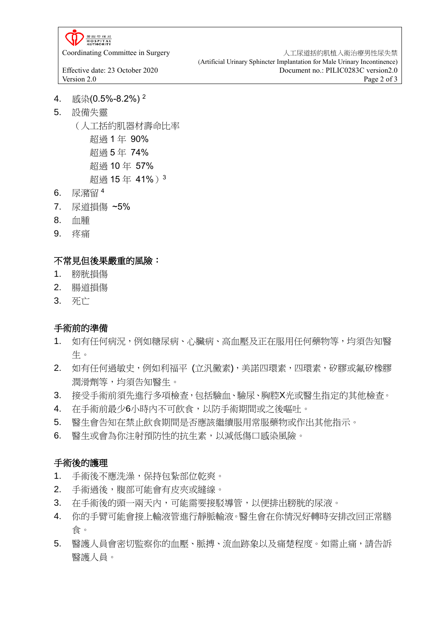**HOSPITAL** 

Coordinating Committee in Surgery <br>
<br />
<br />
<br />
<br />
<br />
<br />
<br />
<br />
<br />
<br />
<br />
<br />
<br />
<br />
<br />
<br />
<br />
<br />
<br />
<br />
<br />
<br />
<br />
<br />
<br />
<br />
<br (Artificial Urinary Sphincter Implantation for Male Urinary Incontinence) Effective date: 23 October 2020<br>
Version 2.0<br>
Page 2 of 3 Version 2.0 Page 2 of 3

- 4. 感染(0.5%-8.2%) <sup>2</sup>
- 5. 設備失靈

(人工括約肌器材壽命比率 超過 1 年 90% 超過 5 年 74% 超過 10 年 57% 超過 15 年 41%)<sup>3</sup>

- 6. 尿瀦留 <sup>4</sup>
- 7. 尿道損傷 ~5%
- 8. 血腫
- 9. 疼痛

#### 不常見但後果嚴重的風險:

- 1. 膀胱損傷
- 2. 腸道損傷
- 3. 死亡

#### 手術前的準備

- 1. 如有任何病況,例如糖尿病、心臟病、高血壓及正在服用任何藥物等,均須告知醫 生。
- 2. 如有任何過敏史,例如利福平 (立汎黴素), 美諾四環素, 四環素, 矽膠或氟矽橡膠 潤滑劑等,均須告知醫生。
- 3. 接受手術前須先進行多項檢查,包括驗血、驗尿、胸腔X光或醫生指定的其他檢查。
- 4. 在手術前最少6小時內不可飲食,以防手術期間或之後嘔吐。
- 5. 醫生會告知在禁止飲食期間是否應該繼續服用常服藥物或作出其他指示。
- 6. 醫生或會為你注射預防性的抗生素,以減低傷口感染風險。

#### 手術後的護理

- 1. 手術後不應洗澡,保持包紥部位乾爽。
- 2. 手術過後,腹部可能會有皮夾或縫線。
- 3. 在手術後的頭一兩天內,可能需要接駁導管,以便排出膀胱的尿液。
- 4. 你的手臂可能會接上輸液管進行靜脈輸液。醫生會在你情況好轉時安排改回正常膳 食。
- 5. 醫護人員會密切監察你的血壓、脈搏、流血跡象以及痛楚程度。如需止痛,請告訴 醫護人員。